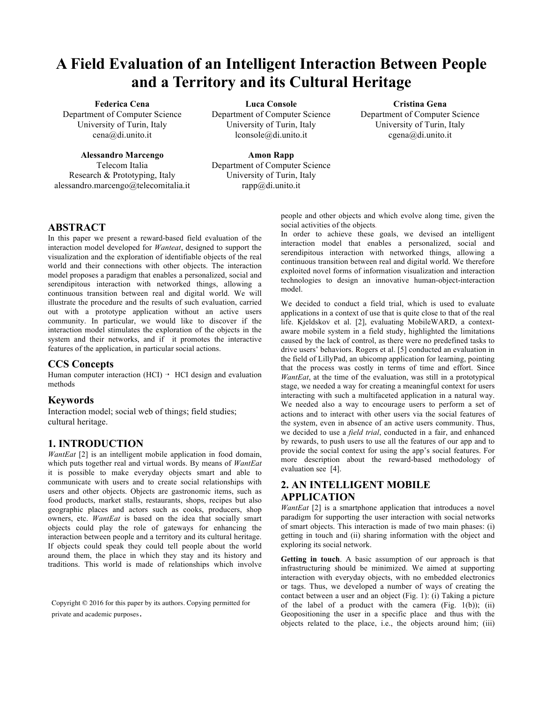# **A Field Evaluation of an Intelligent Interaction Between People and a Territory and its Cultural Heritage**

### **Federica Cena**

Department of Computer Science University of Turin, Italy cena@di.unito.it

## **Alessandro Marcengo**

Telecom Italia Research & Prototyping, Italy alessandro.marcengo@telecomitalia.it **Luca Console**

Department of Computer Science University of Turin, Italy lconsole@di.unito.it

**Cristina Gena**

Department of Computer Science University of Turin, Italy cgena@di.unito.it

## **Amon Rapp** Department of Computer Science University of Turin, Italy rapp@di.unito.it

## **ABSTRACT**

In this paper we present a reward-based field evaluation of the interaction model developed for *Wanteat*, designed to support the visualization and the exploration of identifiable objects of the real world and their connections with other objects. The interaction model proposes a paradigm that enables a personalized, social and serendipitous interaction with networked things, allowing a continuous transition between real and digital world. We will illustrate the procedure and the results of such evaluation, carried out with a prototype application without an active users community. In particular, we would like to discover if the interaction model stimulates the exploration of the objects in the system and their networks, and if it promotes the interactive features of the application, in particular social actions.

### **CCS Concepts**

Human computer interaction (HCI)  $\rightarrow$  HCI design and evaluation methods

## **Keywords**

Interaction model; social web of things; field studies; cultural heritage.

## **1. INTRODUCTION**

*WantEat* [2] is an intelligent mobile application in food domain, which puts together real and virtual words. By means of *WantEat* it is possible to make everyday objects smart and able to communicate with users and to create social relationships with users and other objects. Objects are gastronomic items, such as food products, market stalls, restaurants, shops, recipes but also geographic places and actors such as cooks, producers, shop owners, etc. *WantEat* is based on the idea that socially smart objects could play the role of gateways for enhancing the interaction between people and a territory and its cultural heritage. If objects could speak they could tell people about the world around them, the place in which they stay and its history and traditions. This world is made of relationships which involve

Copyright © 2016 for this paper by its authors. Copying permitted for private and academic purposes.

people and other objects and which evolve along time, given the social activities of the objects*.*

In order to achieve these goals, we devised an intelligent interaction model that enables a personalized, social and serendipitous interaction with networked things, allowing a continuous transition between real and digital world. We therefore exploited novel forms of information visualization and interaction technologies to design an innovative human-object-interaction model.

We decided to conduct a field trial, which is used to evaluate applications in a context of use that is quite close to that of the real life. Kjeldskov et al. [2], evaluating MobileWARD, a contextaware mobile system in a field study, highlighted the limitations caused by the lack of control, as there were no predefined tasks to drive users' behaviors. Rogers et al. [5] conducted an evaluation in the field of LillyPad, an ubicomp application for learning, pointing that the process was costly in terms of time and effort. Since *WantEat*, at the time of the evaluation, was still in a prototypical stage, we needed a way for creating a meaningful context for users interacting with such a multifaceted application in a natural way. We needed also a way to encourage users to perform a set of actions and to interact with other users via the social features of the system, even in absence of an active users community. Thus, we decided to use a *field trial*, conducted in a fair, and enhanced by rewards, to push users to use all the features of our app and to provide the social context for using the app's social features. For more description about the reward-based methodology of evaluation see [4].

## **2. AN INTELLIGENT MOBILE APPLICATION**

*WantEat* [2] is a smartphone application that introduces a novel paradigm for supporting the user interaction with social networks of smart objects. This interaction is made of two main phases: (i) getting in touch and (ii) sharing information with the object and exploring its social network.

**Getting in touch**. A basic assumption of our approach is that infrastructuring should be minimized. We aimed at supporting interaction with everyday objects, with no embedded electronics or tags. Thus, we developed a number of ways of creating the contact between a user and an object (Fig. 1): (i) Taking a picture of the label of a product with the camera (Fig.  $1(b)$ ); (ii) Geopositioning the user in a specific place and thus with the objects related to the place, i.e., the objects around him; (iii)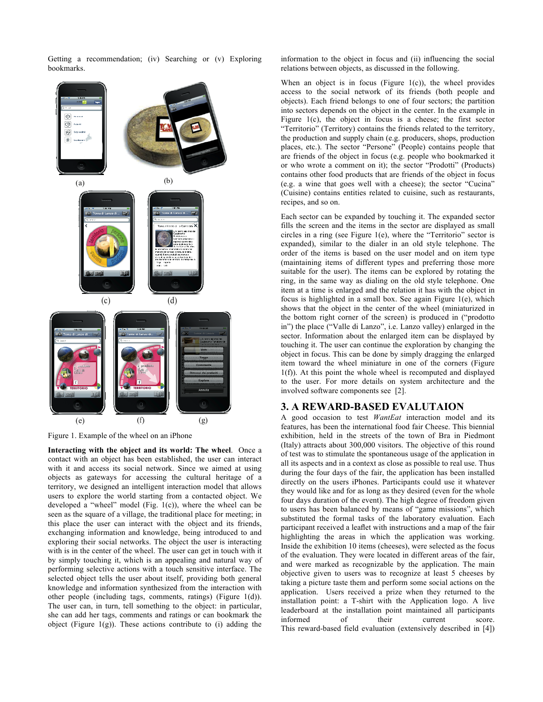Getting a recommendation; (iv) Searching or (v) Exploring bookmarks.



Figure 1. Example of the wheel on an iPhone

**Interacting with the object and its world: The wheel**. Once a contact with an object has been established, the user can interact with it and access its social network. Since we aimed at using objects as gateways for accessing the cultural heritage of a territory, we designed an intelligent interaction model that allows users to explore the world starting from a contacted object. We developed a "wheel" model (Fig. 1(c)), where the wheel can be seen as the square of a village, the traditional place for meeting; in this place the user can interact with the object and its friends, exchanging information and knowledge, being introduced to and exploring their social networks. The object the user is interacting with is in the center of the wheel. The user can get in touch with it by simply touching it, which is an appealing and natural way of performing selective actions with a touch sensitive interface. The selected object tells the user about itself, providing both general knowledge and information synthesized from the interaction with other people (including tags, comments, ratings) (Figure 1(d)). The user can, in turn, tell something to the object: in particular, she can add her tags, comments and ratings or can bookmark the object (Figure 1(g)). These actions contribute to  $(i)$  adding the information to the object in focus and (ii) influencing the social relations between objects, as discussed in the following.

When an object is in focus (Figure  $1(c)$ ), the wheel provides access to the social network of its friends (both people and objects). Each friend belongs to one of four sectors; the partition into sectors depends on the object in the center. In the example in Figure 1(c), the object in focus is a cheese; the first sector "Territorio" (Territory) contains the friends related to the territory, the production and supply chain (e.g. producers, shops, production places, etc.). The sector "Persone" (People) contains people that are friends of the object in focus (e.g. people who bookmarked it or who wrote a comment on it); the sector "Prodotti" (Products) contains other food products that are friends of the object in focus (e.g. a wine that goes well with a cheese); the sector "Cucina" (Cuisine) contains entities related to cuisine, such as restaurants, recipes, and so on.

Each sector can be expanded by touching it. The expanded sector fills the screen and the items in the sector are displayed as small circles in a ring (see Figure 1(e), where the "Territorio" sector is expanded), similar to the dialer in an old style telephone. The order of the items is based on the user model and on item type (maintaining items of different types and preferring those more suitable for the user). The items can be explored by rotating the ring, in the same way as dialing on the old style telephone. One item at a time is enlarged and the relation it has with the object in focus is highlighted in a small box. See again Figure 1(e), which shows that the object in the center of the wheel (miniaturized in the bottom right corner of the screen) is produced in ("prodotto in") the place ("Valle di Lanzo", i.e. Lanzo valley) enlarged in the sector. Information about the enlarged item can be displayed by touching it. The user can continue the exploration by changing the object in focus. This can be done by simply dragging the enlarged item toward the wheel miniature in one of the corners (Figure 1(f)). At this point the whole wheel is recomputed and displayed to the user. For more details on system architecture and the involved software components see [2].

### **3. A REWARD-BASED EVALUTAION**

A good occasion to test *WantEat* interaction model and its features, has been the international food fair Cheese. This biennial exhibition, held in the streets of the town of Bra in Piedmont (Italy) attracts about 300,000 visitors. The objective of this round of test was to stimulate the spontaneous usage of the application in all its aspects and in a context as close as possible to real use. Thus during the four days of the fair, the application has been installed directly on the users iPhones. Participants could use it whatever they would like and for as long as they desired (even for the whole four days duration of the event). The high degree of freedom given to users has been balanced by means of "game missions", which substituted the formal tasks of the laboratory evaluation. Each participant received a leaflet with instructions and a map of the fair highlighting the areas in which the application was working. Inside the exhibition 10 items (cheeses), were selected as the focus of the evaluation. They were located in different areas of the fair, and were marked as recognizable by the application. The main objective given to users was to recognize at least 5 cheeses by taking a picture taste them and perform some social actions on the application. Users received a prize when they returned to the installation point: a T-shirt with the Application logo. A live leaderboard at the installation point maintained all participants informed of their current score. This reward-based field evaluation (extensively described in [4])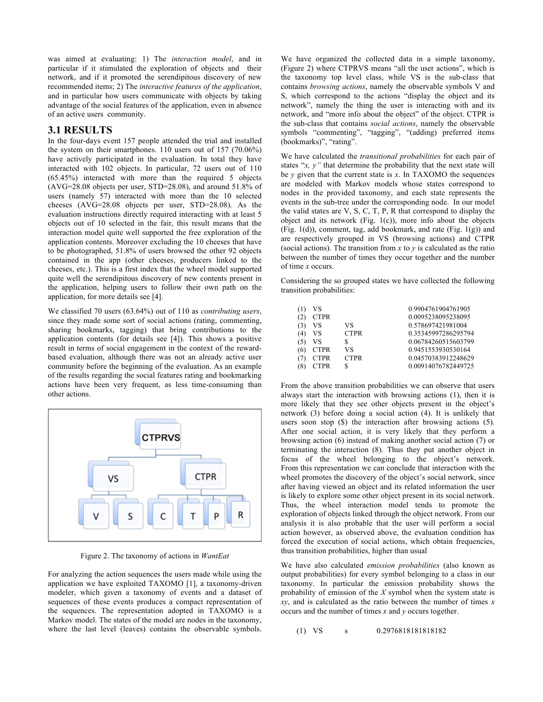was aimed at evaluating: 1) The *interaction model*, and in particular if it stimulated the exploration of objects and their network, and if it promoted the serendipitous discovery of new recommended items; 2) The *interactive features of the application*, and in particular how users communicate with objects by taking advantage of the social features of the application, even in absence of an active users community.

## **3.1 RESULTS**

In the four-days event 157 people attended the trial and installed the system on their smartphones. 110 users out of 157 (70.06%) have actively participated in the evaluation. In total they have interacted with 102 objects. In particular, 72 users out of 110 (65.45%) interacted with more than the required 5 objects (AVG=28.08 objects per user, STD=28.08), and around 51.8% of users (namely 57) interacted with more than the 10 selected cheeses (AVG=28.08 objects per user, STD=28.08). As the evaluation instructions directly required interacting with at least 5 objects out of 10 selected in the fair, this result means that the interaction model quite well supported the free exploration of the application contents. Moreover excluding the 10 cheeses that have to be photographed, 51.8% of users browsed the other 92 objects contained in the app (other cheeses, producers linked to the cheeses, etc.). This is a first index that the wheel model supported quite well the serendipitous discovery of new contents present in the application, helping users to follow their own path on the application, for more details see [4].

We classified 70 users (63.64%) out of 110 as *contributing users*, since they made some sort of social actions (rating, commenting, sharing bookmarks, tagging) that bring contributions to the application contents (for details see [4]). This shows a positive result in terms of social engagement in the context of the rewardbased evaluation, although there was not an already active user community before the beginning of the evaluation. As an example of the results regarding the social features rating and bookmarking actions have been very frequent, as less time-consuming than other actions.



Figure 2. The taxonomy of actions in *WantEat*

For analyzing the action sequences the users made while using the application we have exploited TAXOMO [1], a taxonomy-driven modeler, which given a taxonomy of events and a dataset of sequences of these events produces a compact representation of the sequences. The representation adopted in TAXOMO is a Markov model. The states of the model are nodes in the taxonomy, where the last level (leaves) contains the observable symbols.

We have organized the collected data in a simple taxonomy, (Figure 2) where CTPRVS means "all the user actions", which is the taxonomy top level class, while VS is the sub-class that contains *browsing actions*, namely the observable symbols V and S, which correspond to the actions "display the object and its network", namely the thing the user is interacting with and its network, and "more info about the object" of the object. CTPR is the sub-class that contains *social actions*, namely the observable symbols "commenting", "tagging", "(adding) preferred items (bookmarks)", "rating".

We have calculated the *transitional probabilities* for each pair of states "*x, y"* that determine the probability that the next state will be *y* given that the current state is *x*. In TAXOMO the sequences are modeled with Markov models whose states correspond to nodes in the provided taxonomy, and each state represents the events in the sub-tree under the corresponding node. In our model the valid states are V, S, C, T, P, R that correspond to display the object and its network (Fig.  $1(c)$ ), more info about the objects (Fig. 1(d)), comment, tag, add bookmark, and rate (Fig. 1(g)) and are respectively grouped in VS (browsing actions) and CTPR (social actions). The transition from *x* to *y* is calculated as the ratio between the number of times they occur together and the number of time *x* occurs.

Considering the so grouped states we have collected the following transition probabilities:

| (1) | VS          |             | 0.9904761904761905  |
|-----|-------------|-------------|---------------------|
| (2) | <b>CTPR</b> |             | 0.0095238095238095  |
| (3) | VS          | VS          | 0.578697421981004   |
| (4) | VS          | <b>CTPR</b> | 0.35345997286295794 |
| (5) | VS          |             | 0.06784260515603799 |
| (6) | <b>CTPR</b> | VS          | 0.9451553930530164  |
| (7) | <b>CTPR</b> | <b>CTPR</b> | 0.04570383912248629 |
| 18  | <b>CTPR</b> |             | 0.00914076782449725 |

From the above transition probabilities we can observe that users always start the interaction with browsing actions (1), then it is more likely that they see other objects present in the object's network (3) before doing a social action (4). It is unlikely that users soon stop (\$) the interaction after browsing actions (5). After one social action, it is very likely that they perform a browsing action (6) instead of making another social action (7) or terminating the interaction (8). Thus they put another object in focus of the wheel belonging to the object's network. From this representation we can conclude that interaction with the wheel promotes the discovery of the object's social network, since after having viewed an object and its related information the user is likely to explore some other object present in its social network. Thus, the wheel interaction model tends to promote the exploration of objects linked through the object network. From our analysis it is also probable that the user will perform a social action however, as observed above, the evaluation condition has forced the execution of social actions, which obtain frequencies, thus transition probabilities, higher than usual

We have also calculated *emission probabilities* (also known as output probabilities) for every symbol belonging to a class in our taxonomy. In particular the emission probability shows the probability of emission of the *X* symbol when the system state is *xy*, and is calculated as the ratio between the number of times *x* occurs and the number of times *x* and *y* occurs together.

(1) VS s 0.2976818181818182